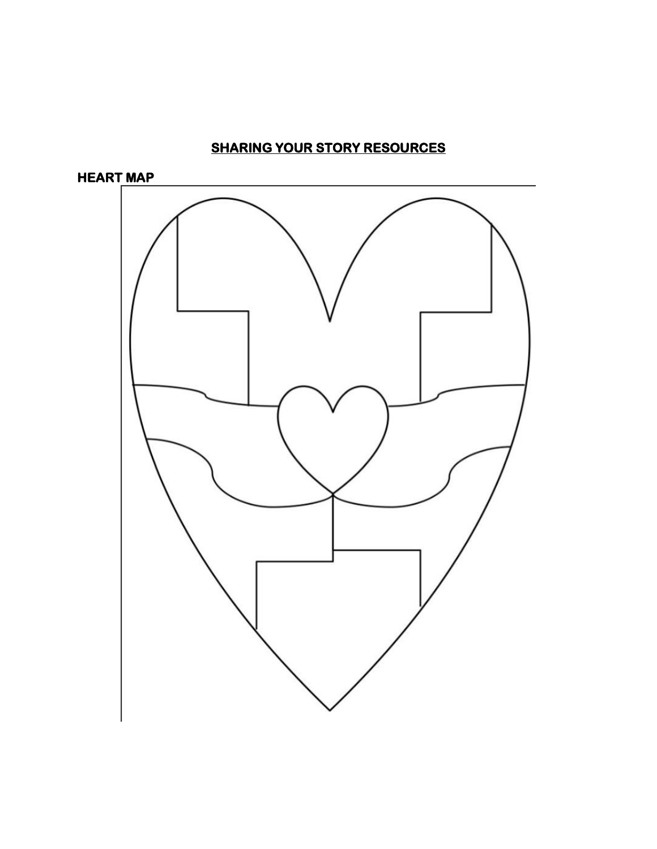# **SHARING YOUR STORY RESOURCES**

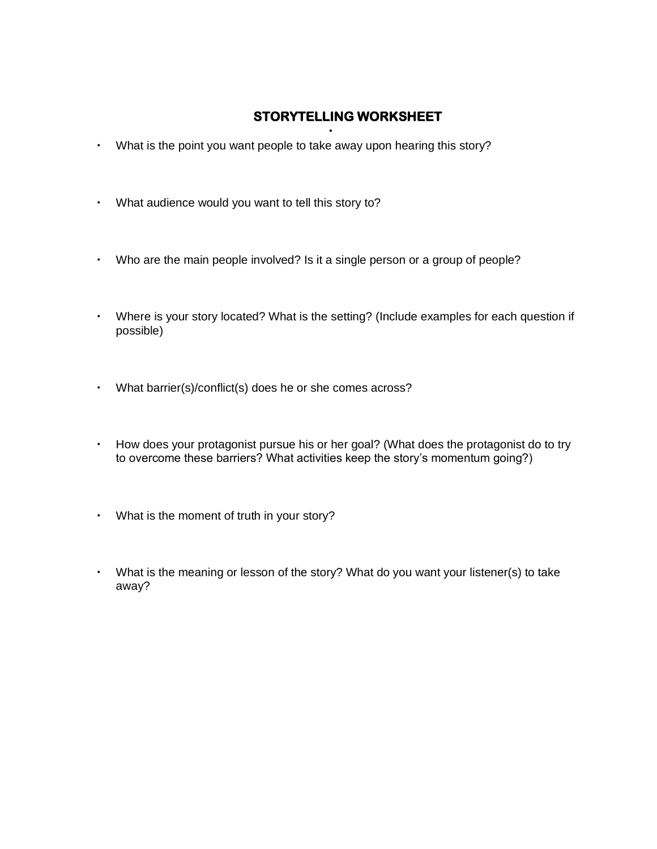## **STORYTELLING WORKSHEET**

- What is the point you want people to take away upon hearing this story?
- What audience would you want to tell this story to?
- Who are the main people involved? Is it a single person or a group of people?
- Where is your story located? What is the setting? (Include examples for each question if possible)
- What barrier(s)/conflict(s) does he or she comes across?
- How does your protagonist pursue his or her goal? (What does the protagonist do to try to overcome these barriers? What activities keep the story's momentum going?)
- What is the moment of truth in your story?
- What is the meaning or lesson of the story? What do you want your listener(s) to take away?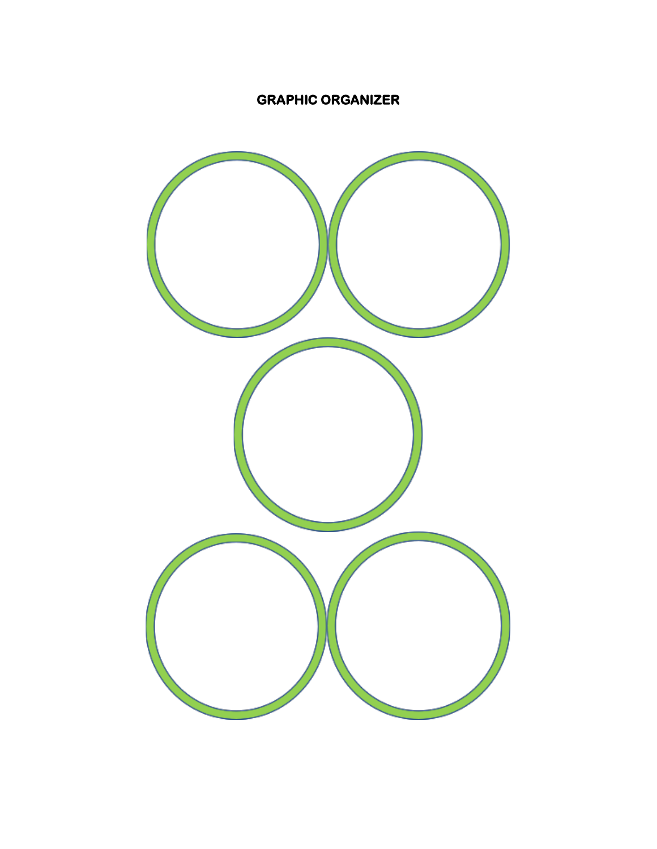## **GRAPHIC ORGANIZER**

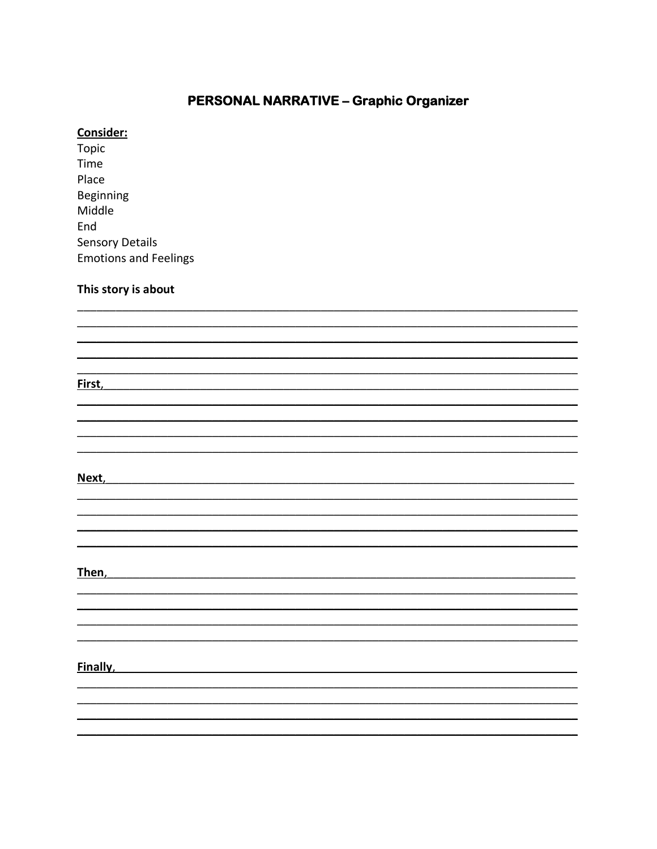### **PERSONAL NARRATIVE - Graphic Organizer**

### Consider:

Topic Time Place **Beginning** Middle End **Sensory Details Emotions and Feelings** 

### This story is about

First, the contract of the contract of the contract of the contract of the contract of the contract of the contract of the contract of the contract of the contract of the contract of the contract of the contract of the con

Next, the contract of the contract of the contract of the contract of the contract of the contract of the contract of the contract of the contract of the contract of the contract of the contract of the contract of the cont

Then, the contract of the contract of the contract of the contract of the contract of the contract of the contract of the contract of the contract of the contract of the contract of the contract of the contract of the cont

Finally, the contract of the contract of the contract of the contract of the contract of the contract of the contract of the contract of the contract of the contract of the contract of the contract of the contract of the c